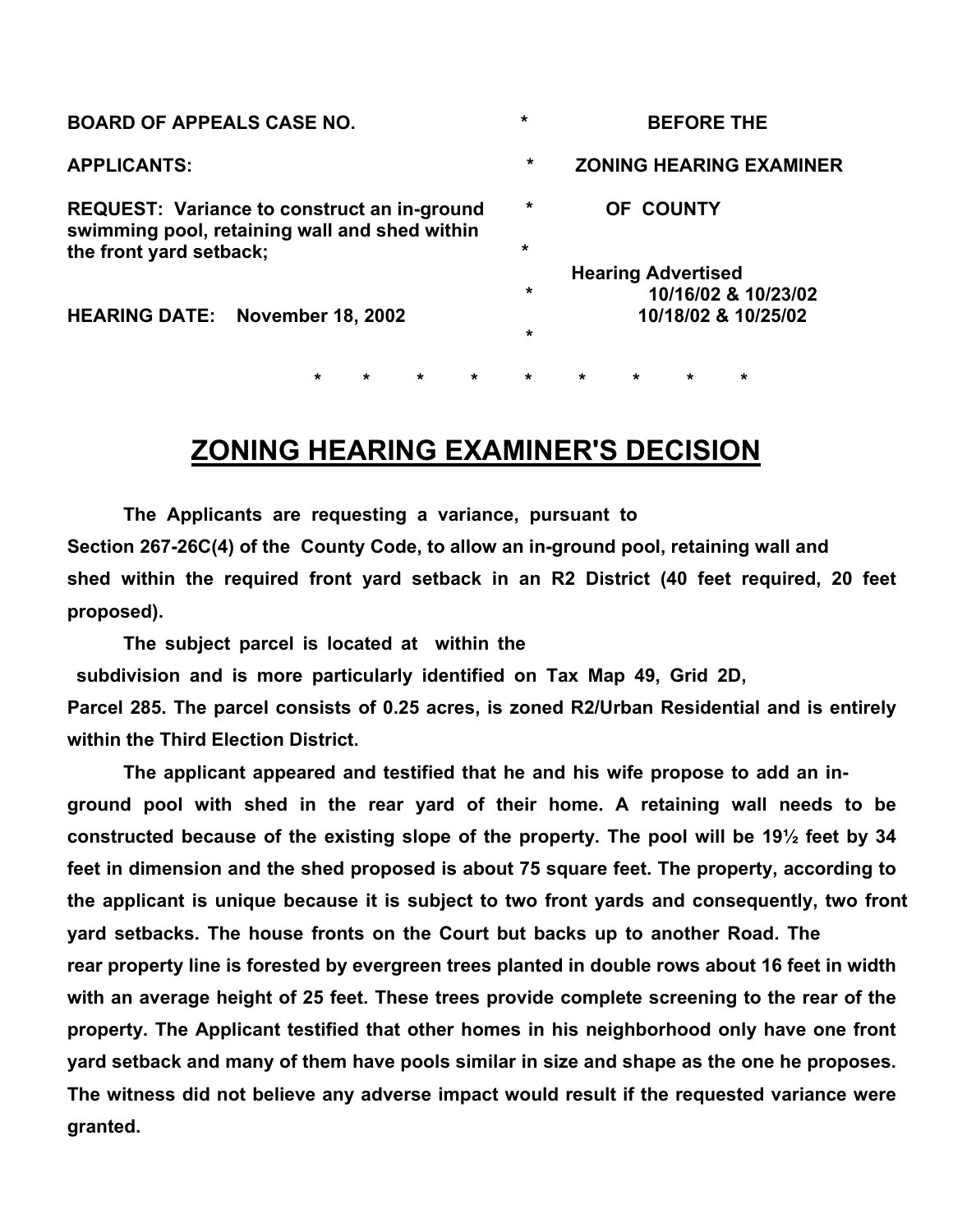| <b>BOARD OF APPEALS CASE NO.</b>                                                                    |                                        |         |         |         |         | $\star$ | <b>BEFORE THE</b>              |                           |         |                     |  |
|-----------------------------------------------------------------------------------------------------|----------------------------------------|---------|---------|---------|---------|---------|--------------------------------|---------------------------|---------|---------------------|--|
| <b>APPLICANTS:</b>                                                                                  |                                        |         |         |         |         | $\star$ | <b>ZONING HEARING EXAMINER</b> |                           |         |                     |  |
| <b>REQUEST:</b> Variance to construct an in-ground<br>swimming pool, retaining wall and shed within |                                        |         |         |         |         | $\star$ | OF COUNTY                      |                           |         |                     |  |
| the front yard setback;                                                                             |                                        |         |         |         |         | $\star$ |                                |                           |         |                     |  |
|                                                                                                     |                                        |         |         |         |         |         |                                | <b>Hearing Advertised</b> |         |                     |  |
|                                                                                                     |                                        |         |         |         |         | $\star$ |                                |                           |         | 10/16/02 & 10/23/02 |  |
|                                                                                                     | <b>HEARING DATE: November 18, 2002</b> |         |         |         |         |         | 10/18/02 & 10/25/02            |                           |         |                     |  |
|                                                                                                     |                                        |         |         |         |         | $\star$ |                                |                           |         |                     |  |
|                                                                                                     |                                        |         |         |         |         |         |                                |                           |         |                     |  |
|                                                                                                     |                                        | $\star$ | $\star$ | $\star$ | $\star$ | $\star$ | $\star$                        | $\star$                   | $\star$ | $\star$             |  |

## **ZONING HEARING EXAMINER'S DECISION**

**The Applicants are requesting a variance, pursuant to Section 267-26C(4) of the County Code, to allow an in-ground pool, retaining wall and shed within the required front yard setback in an R2 District (40 feet required, 20 feet proposed).** 

**The subject parcel is located at within the subdivision and is more particularly identified on Tax Map 49, Grid 2D, Parcel 285. The parcel consists of 0.25 acres, is zoned R2/Urban Residential and is entirely within the Third Election District.** 

**The applicant appeared and testified that he and his wife propose to add an inground pool with shed in the rear yard of their home. A retaining wall needs to be constructed because of the existing slope of the property. The pool will be 19½ feet by 34 feet in dimension and the shed proposed is about 75 square feet. The property, according to the applicant is unique because it is subject to two front yards and consequently, two front yard setbacks. The house fronts on the Court but backs up to another Road. The rear property line is forested by evergreen trees planted in double rows about 16 feet in width with an average height of 25 feet. These trees provide complete screening to the rear of the property. The Applicant testified that other homes in his neighborhood only have one front yard setback and many of them have pools similar in size and shape as the one he proposes. The witness did not believe any adverse impact would result if the requested variance were granted.**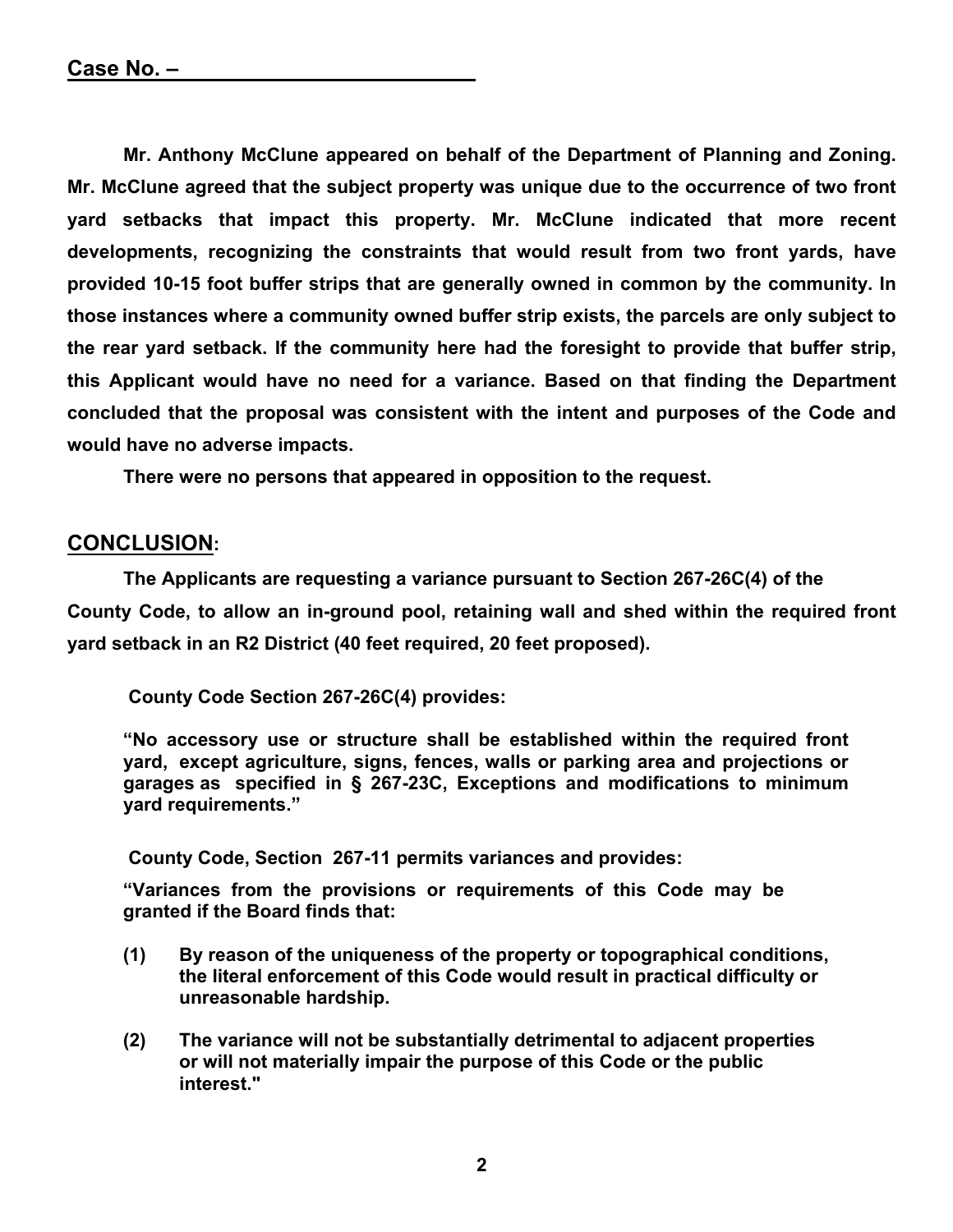**Mr. Anthony McClune appeared on behalf of the Department of Planning and Zoning. Mr. McClune agreed that the subject property was unique due to the occurrence of two front yard setbacks that impact this property. Mr. McClune indicated that more recent developments, recognizing the constraints that would result from two front yards, have provided 10-15 foot buffer strips that are generally owned in common by the community. In those instances where a community owned buffer strip exists, the parcels are only subject to the rear yard setback. If the community here had the foresight to provide that buffer strip, this Applicant would have no need for a variance. Based on that finding the Department concluded that the proposal was consistent with the intent and purposes of the Code and would have no adverse impacts.** 

 **There were no persons that appeared in opposition to the request.** 

## **CONCLUSION:**

**The Applicants are requesting a variance pursuant to Section 267-26C(4) of the County Code, to allow an in-ground pool, retaining wall and shed within the required front yard setback in an R2 District (40 feet required, 20 feet proposed).** 

 **County Code Section 267-26C(4) provides:** 

 **"No accessory use or structure shall be established within the required front yard, except agriculture, signs, fences, walls or parking area and projections or garages as specified in § 267-23C, Exceptions and modifications to minimum yard requirements."** 

 **County Code, Section 267-11 permits variances and provides:** 

**"Variances from the provisions or requirements of this Code may be granted if the Board finds that:** 

- **(1) By reason of the uniqueness of the property or topographical conditions, the literal enforcement of this Code would result in practical difficulty or unreasonable hardship.**
- **(2) The variance will not be substantially detrimental to adjacent properties or will not materially impair the purpose of this Code or the public interest."**